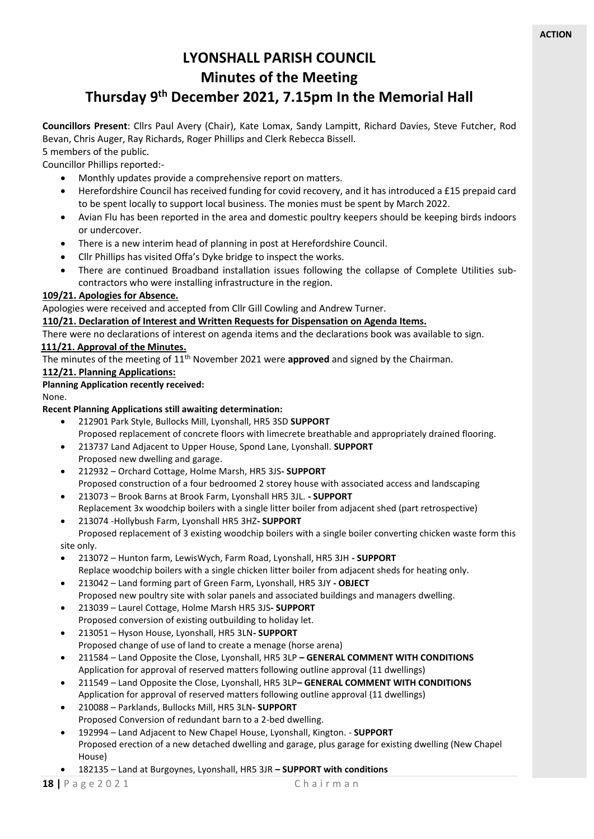# **LYONSHALL PARISH COUNCIL Minutes of the Meeting**

# **Thursday 9 th December 2021, 7.15pm In the Memorial Hall**

**Councillors Present**: Cllrs Paul Avery (Chair), Kate Lomax, Sandy Lampitt, Richard Davies, Steve Futcher, Rod Bevan, Chris Auger, Ray Richards, Roger Phillips and Clerk Rebecca Bissell.

5 members of the public. Councillor Phillips reported:-

- Monthly updates provide a comprehensive report on matters.
- Herefordshire Council has received funding for covid recovery, and it has introduced a £15 prepaid card to be spent locally to support local business. The monies must be spent by March 2022.
- Avian Flu has been reported in the area and domestic poultry keepers should be keeping birds indoors or undercover.
- There is a new interim head of planning in post at Herefordshire Council.
- Cllr Phillips has visited Offa's Dyke bridge to inspect the works.
- There are continued Broadband installation issues following the collapse of Complete Utilities subcontractors who were installing infrastructure in the region.

## **109/21. Apologies for Absence.**

Apologies were received and accepted from Cllr Gill Cowling and Andrew Turner.

## **110/21. Declaration of Interest and Written Requests for Dispensation on Agenda Items.**

There were no declarations of interest on agenda items and the declarations book was available to sign.

## **111/21. Approval of the Minutes.**

The minutes of the meeting of 11<sup>th</sup> November 2021 were **approved** and signed by the Chairman.

## **112/21. Planning Applications:**

## **Planning Application recently received:**

None.

## **Recent Planning Applications still awaiting determination:**

- 212901 Park Style, Bullocks Mill, Lyonshall, HR5 3SD **SUPPORT** Proposed replacement of concrete floors with limecrete breathable and appropriately drained flooring.
- 213737 Land Adjacent to Upper House, Spond Lane, Lyonshall. **SUPPORT** Proposed new dwelling and garage.
- 212932 Orchard Cottage, Holme Marsh, HR5 3JS**- SUPPORT**
- Proposed construction of a four bedroomed 2 storey house with associated access and landscaping • 213073 – Brook Barns at Brook Farm, Lyonshall HR5 3JL. **- SUPPORT**
- Replacement 3x woodchip boilers with a single litter boiler from adjacent shed (part retrospective)
- 213074 -Hollybush Farm, Lyonshall HR5 3HZ**- SUPPORT** Proposed replacement of 3 existing woodchip boilers with a single boiler converting chicken waste form this site only.
- 
- 213072 Hunton farm, LewisWych, Farm Road, Lyonshall, HR5 3JH **- SUPPORT** Replace woodchip boilers with a single chicken litter boiler from adjacent sheds for heating only.
- 213042 Land forming part of Green Farm, Lyonshall, HR5 3JY **- OBJECT**
- Proposed new poultry site with solar panels and associated buildings and managers dwelling.
- 213039 Laurel Cottage, Holme Marsh HR5 3JS**- SUPPORT** Proposed conversion of existing outbuilding to holiday let.
- 213051 Hyson House, Lyonshall, HR5 3LN**- SUPPORT** Proposed change of use of land to create a menage (horse arena)
- 211584 Land Opposite the Close, Lyonshall, HR5 3LP **– GENERAL COMMENT WITH CONDITIONS** Application for approval of reserved matters following outline approval (11 dwellings)
- 211549 Land Opposite the Close, Lyonshall, HR5 3LP**– GENERAL COMMENT WITH CONDITIONS** Application for approval of reserved matters following outline approval (11 dwellings)
- 210088 Parklands, Bullocks Mill, HR5 3LN**- SUPPORT**
- Proposed Conversion of redundant barn to a 2-bed dwelling.
- 192994 Land Adjacent to New Chapel House, Lyonshall, Kington. **SUPPORT** Proposed erection of a new detached dwelling and garage, plus garage for existing dwelling (New Chapel House)
	- 182135 Land at Burgoynes, Lyonshall, HR5 3JR **– SUPPORT with conditions**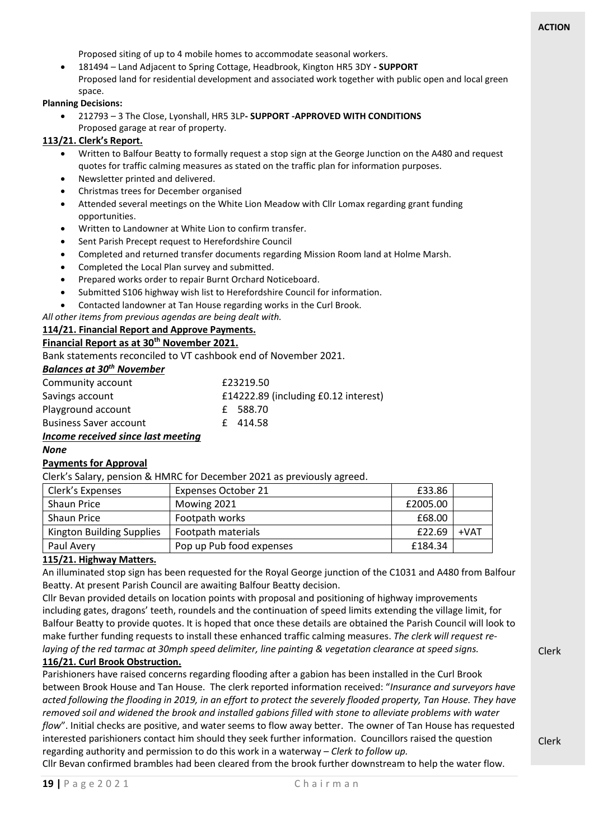Proposed siting of up to 4 mobile homes to accommodate seasonal workers.

• 181494 – Land Adjacent to Spring Cottage, Headbrook, Kington HR5 3DY **- SUPPORT** Proposed land for residential development and associated work together with public open and local green space.

## **Planning Decisions:**

• 212793 – 3 The Close, Lyonshall, HR5 3LP**- SUPPORT -APPROVED WITH CONDITIONS** Proposed garage at rear of property.

## **113/21. Clerk's Report.**

- Written to Balfour Beatty to formally request a stop sign at the George Junction on the A480 and request quotes for traffic calming measures as stated on the traffic plan for information purposes.
- Newsletter printed and delivered.
- Christmas trees for December organised
- Attended several meetings on the White Lion Meadow with Cllr Lomax regarding grant funding opportunities.
- Written to Landowner at White Lion to confirm transfer.
- Sent Parish Precept request to Herefordshire Council
- Completed and returned transfer documents regarding Mission Room land at Holme Marsh.
- Completed the Local Plan survey and submitted.
- Prepared works order to repair Burnt Orchard Noticeboard.
- Submitted S106 highway wish list to Herefordshire Council for information.
- Contacted landowner at Tan House regarding works in the Curl Brook.

*All other items from previous agendas are being dealt with.* 

**114/21. Financial Report and Approve Payments.**

## **Financial Report as at 30th November 2021.**

Bank statements reconciled to VT cashbook end of November 2021.

## *Balances at 30th November*

| Community account                                                                             | £23219.50                            |
|-----------------------------------------------------------------------------------------------|--------------------------------------|
| Savings account                                                                               | £14222.89 (including £0.12 interest) |
| Playground account                                                                            | £ 588.70                             |
| <b>Business Saver account</b>                                                                 | £414.58                              |
| The contract of the contract of the contract of the contract of the contract of $\mathcal{A}$ |                                      |

#### *Income received since last meeting None*

## **Payments for Approval**

Clerk's Salary, pension & HMRC for December 2021 as previously agreed.

| Clerk's Expenses          | <b>Expenses October 21</b> | £33.86   |        |
|---------------------------|----------------------------|----------|--------|
| <b>Shaun Price</b>        | Mowing 2021                | £2005.00 |        |
| <b>Shaun Price</b>        | Footpath works             | £68.00   |        |
| Kington Building Supplies | Footpath materials         | £22.69   | $+VAT$ |
| Paul Avery                | Pop up Pub food expenses   | £184.34  |        |

## **115/21. Highway Matters.**

An illuminated stop sign has been requested for the Royal George junction of the C1031 and A480 from Balfour Beatty. At present Parish Council are awaiting Balfour Beatty decision.

Cllr Bevan provided details on location points with proposal and positioning of highway improvements including gates, dragons' teeth, roundels and the continuation of speed limits extending the village limit, for Balfour Beatty to provide quotes. It is hoped that once these details are obtained the Parish Council will look to make further funding requests to install these enhanced traffic calming measures. *The clerk will request relaying of the red tarmac at 30mph speed delimiter, line painting & vegetation clearance at speed signs.*

## **116/21. Curl Brook Obstruction.**

Parishioners have raised concerns regarding flooding after a gabion has been installed in the Curl Brook between Brook House and Tan House. The clerk reported information received: "*Insurance and surveyors have acted following the flooding in 2019, in an effort to protect the severely flooded property, Tan House. They have removed soil and widened the brook and installed gabions filled with stone to alleviate problems with water flow*". Initial checks are positive, and water seems to flow away better. The owner of Tan House has requested interested parishioners contact him should they seek further information. Councillors raised the question regarding authority and permission to do this work in a waterway – *Clerk to follow up.*

Cllr Bevan confirmed brambles had been cleared from the brook further downstream to help the water flow.

Clerk

Clerk